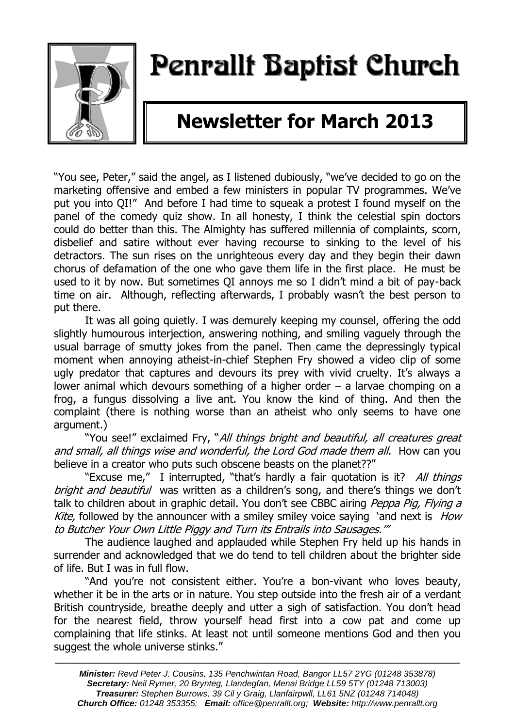

# Penrallt Baptist Church

# **Newsletter for March 2013**

"You see, Peter," said the angel, as I listened dubiously, "we've decided to go on the marketing offensive and embed a few ministers in popular TV programmes. We've put you into QI!" And before I had time to squeak a protest I found myself on the panel of the comedy quiz show. In all honesty, I think the celestial spin doctors could do better than this. The Almighty has suffered millennia of complaints, scorn, disbelief and satire without ever having recourse to sinking to the level of his detractors. The sun rises on the unrighteous every day and they begin their dawn chorus of defamation of the one who gave them life in the first place. He must be used to it by now. But sometimes QI annoys me so I didn't mind a bit of pay-back time on air. Although, reflecting afterwards, I probably wasn't the best person to put there.

It was all going quietly. I was demurely keeping my counsel, offering the odd slightly humourous interjection, answering nothing, and smiling vaguely through the usual barrage of smutty jokes from the panel. Then came the depressingly typical moment when annoying atheist-in-chief Stephen Fry showed a video clip of some ugly predator that captures and devours its prey with vivid cruelty. It's always a lower animal which devours something of a higher order – a larvae chomping on a frog, a fungus dissolving a live ant. You know the kind of thing. And then the complaint (there is nothing worse than an atheist who only seems to have one argument.)

"You see!" exclaimed Fry, "All things bright and beautiful, all creatures great and small, all things wise and wonderful, the Lord God made them all. How can you believe in a creator who puts such obscene beasts on the planet??"

"Excuse me," I interrupted, "that's hardly a fair quotation is it? All things bright and beautiful was written as a children's song, and there's things we don't talk to children about in graphic detail. You don't see CBBC airing Peppa Pig, Flying a Kite, followed by the announcer with a smiley smiley voice saying 'and next is *How* to Butcher Your Own Little Piggy and Turn its Entrails into Sausages.'"

The audience laughed and applauded while Stephen Fry held up his hands in surrender and acknowledged that we do tend to tell children about the brighter side of life. But I was in full flow.

"And you're not consistent either. You're a bon-vivant who loves beauty, whether it be in the arts or in nature. You step outside into the fresh air of a verdant British countryside, breathe deeply and utter a sigh of satisfaction. You don't head for the nearest field, throw yourself head first into a cow pat and come up complaining that life stinks. At least not until someone mentions God and then you suggest the whole universe stinks."

———————————————————————————————————————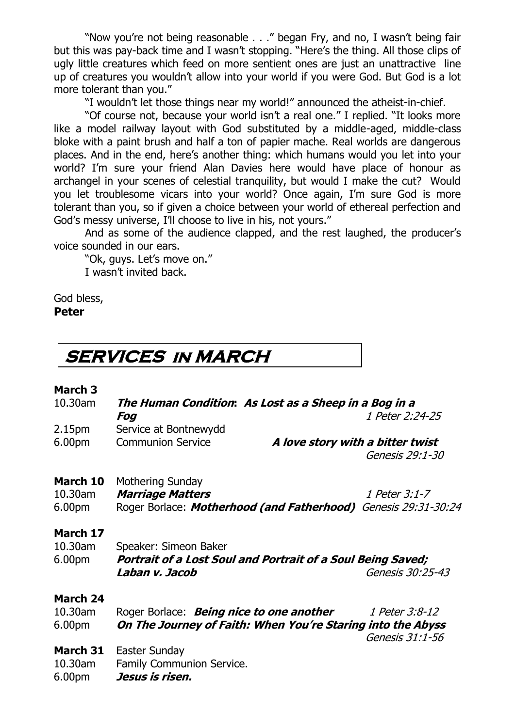"Now you're not being reasonable . . ." began Fry, and no, I wasn't being fair but this was pay-back time and I wasn't stopping. "Here's the thing. All those clips of ugly little creatures which feed on more sentient ones are just an unattractive line up of creatures you wouldn't allow into your world if you were God. But God is a lot more tolerant than you."

"I wouldn't let those things near my world!" announced the atheist-in-chief.

"Of course not, because your world isn't a real one." I replied. "It looks more like a model railway layout with God substituted by a middle-aged, middle-class bloke with a paint brush and half a ton of papier mache. Real worlds are dangerous places. And in the end, here's another thing: which humans would you let into your world? I'm sure your friend Alan Davies here would have place of honour as archangel in your scenes of celestial tranquility, but would I make the cut? Would you let troublesome vicars into your world? Once again, I'm sure God is more tolerant than you, so if given a choice between your world of ethereal perfection and God's messy universe, I'll choose to live in his, not yours."

And as some of the audience clapped, and the rest laughed, the producer's voice sounded in our ears.

"Ok, guys. Let's move on." I wasn't invited back.

God bless, **Peter**

# **SERVICES in MARCH**

### **March 3**

| 10.30am             | The Human Condition: As Lost as a Sheep in a Bog in a              |                                                             |  |
|---------------------|--------------------------------------------------------------------|-------------------------------------------------------------|--|
|                     | Fog                                                                | 1 Peter 2:24-25                                             |  |
| 2.15pm              | Service at Bontnewydd                                              |                                                             |  |
| 6.00pm              | <b>Communion Service</b>                                           | A love story with a bitter twist                            |  |
|                     |                                                                    | Genesis 29:1-30                                             |  |
| March 10            | <b>Mothering Sunday</b>                                            |                                                             |  |
| 10.30am             | <b>Marriage Matters</b>                                            | 1 Peter 3:1-7                                               |  |
| 6.00pm              | Roger Borlace: Motherhood (and Fatherhood) Genesis 29:31-30:24     |                                                             |  |
| March 17<br>10.30am | Speaker: Simeon Baker                                              |                                                             |  |
| 6.00pm              | <b>Portrait of a Lost Soul and Portrait of a Soul Being Saved;</b> |                                                             |  |
|                     | Laban v. Jacob                                                     | Genesis 30:25-43                                            |  |
| <b>March 24</b>     |                                                                    |                                                             |  |
| 10.30am             | Roger Borlace: <b>Being nice to one another</b>                    | 1 Peter 3:8-12                                              |  |
| 6.00pm              |                                                                    | On The Journey of Faith: When You're Staring into the Abyss |  |
|                     |                                                                    | Genesis 31:1-56                                             |  |
| March 31            | Easter Sunday                                                      |                                                             |  |
| 10.30am             | Family Communion Service.                                          |                                                             |  |
| 6.00pm              | Jesus is risen.                                                    |                                                             |  |
|                     |                                                                    |                                                             |  |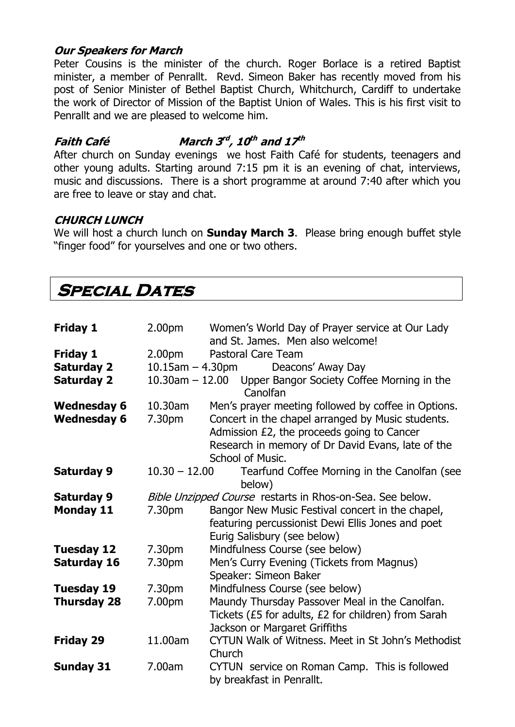### **Our Speakers for March**

Peter Cousins is the minister of the church. Roger Borlace is a retired Baptist minister, a member of Penrallt. Revd. Simeon Baker has recently moved from his post of Senior Minister of Bethel Baptist Church, Whitchurch, Cardiff to undertake the work of Director of Mission of the Baptist Union of Wales. This is his first visit to Penrallt and we are pleased to welcome him.

### **Faith Café rd , 10 th and 17 th**

After church on Sunday evenings we host Faith Café for students, teenagers and other young adults. Starting around 7:15 pm it is an evening of chat, interviews, music and discussions. There is a short programme at around 7:40 after which you are free to leave or stay and chat.

### **CHURCH LUNCH**

We will host a church lunch on **Sunday March 3**. Please bring enough buffet style "finger food" for yourselves and one or two others.

# **SPECIAL DATES**

| <b>Friday 1</b>                          | 2.00 <sub>pm</sub>                                        | Women's World Day of Prayer service at Our Lady<br>and St. James. Men also welcome!                      |  |
|------------------------------------------|-----------------------------------------------------------|----------------------------------------------------------------------------------------------------------|--|
| <b>Friday 1</b>                          | 2.00 <sub>pm</sub>                                        | <b>Pastoral Care Team</b>                                                                                |  |
| <b>Saturday 2</b>                        | $10.15$ am $-4.30$ pm                                     | Deacons' Away Day                                                                                        |  |
| <b>Saturday 2</b>                        |                                                           | 10.30am - 12.00 Upper Bangor Society Coffee Morning in the<br>Canolfan                                   |  |
| <b>Wednesday 6</b><br><b>Wednesday 6</b> | 10.30am<br>7.30pm                                         | Men's prayer meeting followed by coffee in Options.<br>Concert in the chapel arranged by Music students. |  |
|                                          |                                                           | Admission £2, the proceeds going to Cancer                                                               |  |
|                                          |                                                           | Research in memory of Dr David Evans, late of the                                                        |  |
|                                          |                                                           | School of Music.                                                                                         |  |
| <b>Saturday 9</b>                        | $10.30 - 12.00$                                           | Tearfund Coffee Morning in the Canolfan (see                                                             |  |
|                                          |                                                           | below)                                                                                                   |  |
| <b>Saturday 9</b>                        | Bible Unzipped Course restarts in Rhos-on-Sea. See below. |                                                                                                          |  |
| <b>Monday 11</b>                         | 7.30pm                                                    | Bangor New Music Festival concert in the chapel,                                                         |  |
|                                          |                                                           | featuring percussionist Dewi Ellis Jones and poet                                                        |  |
|                                          |                                                           | Eurig Salisbury (see below)                                                                              |  |
| <b>Tuesday 12</b>                        | 7.30pm                                                    | Mindfulness Course (see below)                                                                           |  |
| Saturday 16                              | 7.30pm                                                    | Men's Curry Evening (Tickets from Magnus)                                                                |  |
|                                          |                                                           | Speaker: Simeon Baker                                                                                    |  |
| <b>Tuesday 19</b>                        | 7.30pm                                                    | Mindfulness Course (see below)                                                                           |  |
| <b>Thursday 28</b>                       | 7.00pm                                                    | Maundy Thursday Passover Meal in the Canolfan.                                                           |  |
|                                          |                                                           | Tickets (£5 for adults, £2 for children) from Sarah                                                      |  |
|                                          |                                                           | Jackson or Margaret Griffiths                                                                            |  |
| <b>Friday 29</b>                         | 11.00am                                                   | CYTUN Walk of Witness. Meet in St John's Methodist<br>Church                                             |  |
| <b>Sunday 31</b>                         | 7.00am                                                    | CYTUN service on Roman Camp. This is followed<br>by breakfast in Penrallt.                               |  |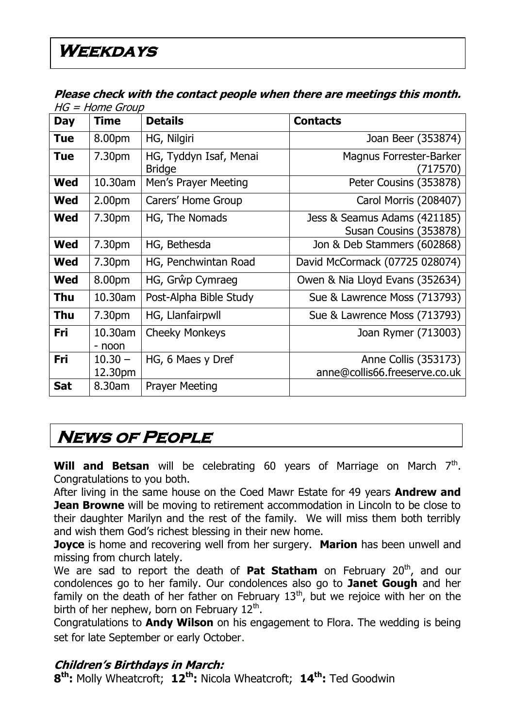### **Please check with the contact people when there are meetings this month.**   $H = H$ ome Group

| Day        | שטוט סווטו – טוו<br><b>Time</b> | <b>Details</b>                          | <b>Contacts</b>                                        |
|------------|---------------------------------|-----------------------------------------|--------------------------------------------------------|
|            |                                 |                                         |                                                        |
| <b>Tue</b> | 8.00pm                          | HG, Nilgiri                             | Joan Beer (353874)                                     |
| Tue        | 7.30pm                          | HG, Tyddyn Isaf, Menai<br><b>Bridge</b> | Magnus Forrester-Barker<br>(717570)                    |
| <b>Wed</b> | 10.30am                         | Men's Prayer Meeting                    | Peter Cousins (353878)                                 |
| <b>Wed</b> | 2.00 <sub>pm</sub>              | Carers' Home Group                      | Carol Morris (208407)                                  |
| Wed        | 7.30pm                          | HG, The Nomads                          | Jess & Seamus Adams (421185)<br>Susan Cousins (353878) |
| Wed        | 7.30pm                          | HG, Bethesda                            | Jon & Deb Stammers (602868)                            |
| <b>Wed</b> | 7.30pm                          | HG, Penchwintan Road                    | David McCormack (07725 028074)                         |
| <b>Wed</b> | 8.00pm                          | HG, Grŵp Cymraeg                        | Owen & Nia Lloyd Evans (352634)                        |
| Thu        | 10.30am                         | Post-Alpha Bible Study                  | Sue & Lawrence Moss (713793)                           |
| Thu        | 7.30pm                          | HG, Llanfairpwll                        | Sue & Lawrence Moss (713793)                           |
| Fri        | 10.30am<br>- noon               | <b>Cheeky Monkeys</b>                   | Joan Rymer (713003)                                    |
| Fri        | $10.30 -$<br>12.30pm            | HG, 6 Maes y Dref                       | Anne Collis (353173)<br>anne@collis66.freeserve.co.uk  |
| <b>Sat</b> | 8.30am                          | <b>Prayer Meeting</b>                   |                                                        |

# **News of People**

**Will and Betsan** will be celebrating 60 years of Marriage on March  $7<sup>th</sup>$ . Congratulations to you both.

After living in the same house on the Coed Mawr Estate for 49 years **Andrew and Jean Browne** will be moving to retirement accommodation in Lincoln to be close to their daughter Marilyn and the rest of the family. We will miss them both terribly and wish them God's richest blessing in their new home.

**Joyce** is home and recovering well from her surgery. **Marion** has been unwell and missing from church lately.

We are sad to report the death of **Pat Statham** on February 20<sup>th</sup>, and our condolences go to her family. Our condolences also go to **Janet Gough** and her family on the death of her father on February  $13<sup>th</sup>$ , but we rejoice with her on the birth of her nephew, born on February 12<sup>th</sup>.

Congratulations to **Andy Wilson** on his engagement to Flora. The wedding is being set for late September or early October.

### **Children's Birthdays in March:**

**8 th:** Molly Wheatcroft; **12th:** Nicola Wheatcroft; **14th:** Ted Goodwin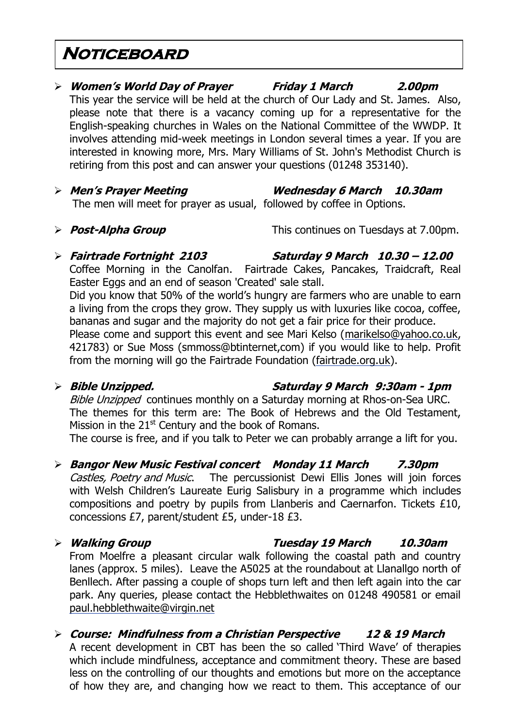## **Noticeboard**

### **Women's World Day of Prayer Friday 1 March 2.00pm** This year the service will be held at the church of Our Lady and St. James. Also, please note that there is a vacancy coming up for a representative for the English-speaking churches in Wales on the National Committee of the WWDP. It involves attending mid-week meetings in London several times a year. If you are interested in knowing more, Mrs. Mary Williams of St. John's Methodist Church is retiring from this post and can answer your questions (01248 353140).

- **Men's Prayer Meeting Wednesday 6 March 10.30am** The men will meet for prayer as usual, followed by coffee in Options.
- 

**Post-Alpha Group** This continues on Tuesdays at 7.00pm.

# **Fairtrade Fortnight 2103 Saturday 9 March 10.30 – 12.00**

Coffee Morning in the Canolfan. Fairtrade Cakes, Pancakes, Traidcraft, Real Easter Eggs and an end of season 'Created' sale stall.

Did you know that 50% of the world's hungry are farmers who are unable to earn a living from the crops they grow. They supply us with luxuries like cocoa, coffee, bananas and sugar and the majority do not get a fair price for their produce. Please come and support this event and see Mari Kelso [\(marikelso@yahoo.co.uk,](mailto:marikelso@yahoo.co.uk) 421783) or Sue Moss (smmoss@btinternet,com) if you would like to help. Profit from the morning will go the Fairtrade Foundation [\(fairtrade.org.uk\)](http://fairtrade.org.uk/).

### **Bible Unzipped. Saturday 9 March 9:30am - 1pm**

Bible Unzipped continues monthly on a Saturday morning at Rhos-on-Sea URC. The themes for this term are: The Book of Hebrews and the Old Testament, Mission in the  $21<sup>st</sup>$  Century and the book of Romans.

The course is free, and if you talk to Peter we can probably arrange a lift for you.

### **Bangor New Music Festival concert Monday 11 March 7.30pm**

Castles, Poetry and Music. The percussionist Dewi Ellis Jones will join forces with Welsh Children's Laureate Eurig Salisbury in a programme which includes compositions and poetry by pupils from Llanberis and Caernarfon. Tickets £10, concessions £7, parent/student £5, under-18 £3.

### **Walking Group Tuesday 19 March 10.30am** From Moelfre a pleasant circular walk following the coastal path and country lanes (approx. 5 miles). Leave the A5025 at the roundabout at Llanallgo north of Benllech. After passing a couple of shops turn left and then left again into the car park. Any queries, please contact the Hebblethwaites on 01248 490581 or email [paul.hebblethwaite@virgin.net](mailto:paul.hebblethwaite@virgin.net)

 **Course: Mindfulness from a Christian Perspective 12 & 19 March** A recent development in CBT has been the so called 'Third Wave' of therapies which include mindfulness, acceptance and commitment theory. These are based less on the controlling of our thoughts and emotions but more on the acceptance of how they are, and changing how we react to them. This acceptance of our